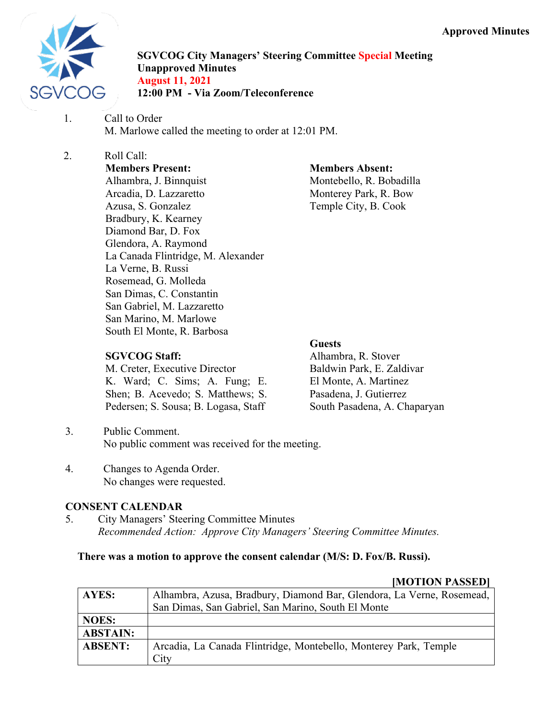

**SGVCOG City Managers' Steering Committee Special Meeting Unapproved Minutes August 11, 2021 12:00 PM - Via Zoom/Teleconference**

1. Call to Order M. Marlowe called the meeting to order at 12:01 PM.

# 2. Roll Call:

**Members Present:** Alhambra, J. Binnquist Arcadia, D. Lazzaretto Azusa, S. Gonzalez Bradbury, K. Kearney Diamond Bar, D. Fox Glendora, A. Raymond La Canada Flintridge, M. Alexander La Verne, B. Russi Rosemead, G. Molleda San Dimas, C. Constantin San Gabriel, M. Lazzaretto San Marino, M. Marlowe South El Monte, R. Barbosa

# **SGVCOG Staff:**

M. Creter, Executive Director K. Ward; C. Sims; A. Fung; E. Shen; B. Acevedo; S. Matthews; S. Pedersen; S. Sousa; B. Logasa, Staff

**Members Absent:** Montebello, R. Bobadilla Monterey Park, R. Bow Temple City, B. Cook

# **Guests**

Alhambra, R. Stover Baldwin Park, E. Zaldivar El Monte, A. Martinez Pasadena, J. Gutierrez South Pasadena, A. Chaparyan

- 3. Public Comment. No public comment was received for the meeting.
- 4. Changes to Agenda Order. No changes were requested.

# **CONSENT CALENDAR**

5. City Managers' Steering Committee Minutes *Recommended Action: Approve City Managers' Steering Committee Minutes.*

# **There was a motion to approve the consent calendar (M/S: D. Fox/B. Russi).**

# **[MOTION PASSED]**

| <b>AYES:</b>    | Alhambra, Azusa, Bradbury, Diamond Bar, Glendora, La Verne, Rosemead,    |
|-----------------|--------------------------------------------------------------------------|
|                 | San Dimas, San Gabriel, San Marino, South El Monte                       |
| <b>NOES:</b>    |                                                                          |
| <b>ABSTAIN:</b> |                                                                          |
| <b>ABSENT:</b>  | Arcadia, La Canada Flintridge, Montebello, Monterey Park, Temple<br>City |
|                 |                                                                          |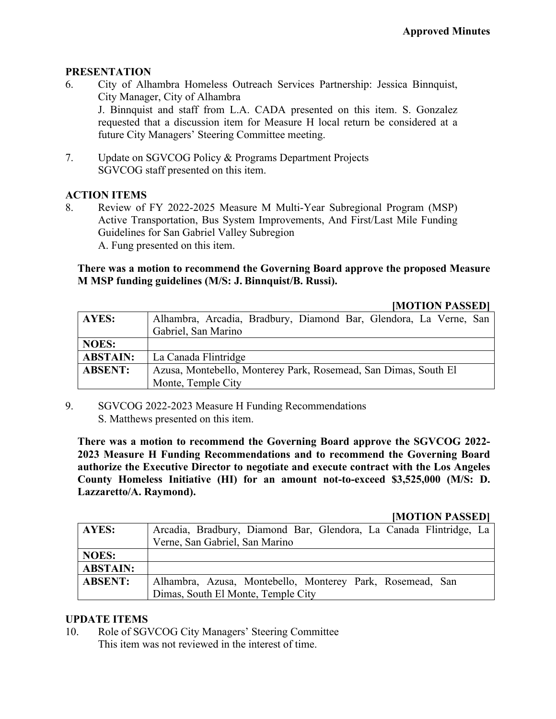#### **PRESENTATION**

- 6. City of Alhambra Homeless Outreach Services Partnership: Jessica Binnquist, City Manager, City of Alhambra J. Binnquist and staff from L.A. CADA presented on this item. S. Gonzalez requested that a discussion item for Measure H local return be considered at a future City Managers' Steering Committee meeting.
- 7. Update on SGVCOG Policy & Programs Department Projects SGVCOG staff presented on this item.

# **ACTION ITEMS**

8. Review of FY 2022-2025 Measure M Multi-Year Subregional Program (MSP) Active Transportation, Bus System Improvements, And First/Last Mile Funding Guidelines for San Gabriel Valley Subregion A. Fung presented on this item.

### **There was a motion to recommend the Governing Board approve the proposed Measure M MSP funding guidelines (M/S: J. Binnquist/B. Russi).**

#### **[MOTION PASSED]**

| AYES:           | Alhambra, Arcadia, Bradbury, Diamond Bar, Glendora, La Verne, San<br>Gabriel, San Marino |
|-----------------|------------------------------------------------------------------------------------------|
| <b>NOES:</b>    |                                                                                          |
| <b>ABSTAIN:</b> | La Canada Flintridge                                                                     |
| <b>ABSENT:</b>  | Azusa, Montebello, Monterey Park, Rosemead, San Dimas, South El                          |
|                 | Monte, Temple City                                                                       |

9. SGVCOG 2022-2023 Measure H Funding Recommendations S. Matthews presented on this item.

**There was a motion to recommend the Governing Board approve the SGVCOG 2022- 2023 Measure H Funding Recommendations and to recommend the Governing Board authorize the Executive Director to negotiate and execute contract with the Los Angeles County Homeless Initiative (HI) for an amount not-to-exceed \$3,525,000 (M/S: D. Lazzaretto/A. Raymond).**

#### **[MOTION PASSED]**

| AYES:           | Arcadia, Bradbury, Diamond Bar, Glendora, La Canada Flintridge, La |
|-----------------|--------------------------------------------------------------------|
|                 | Verne, San Gabriel, San Marino                                     |
| <b>NOES:</b>    |                                                                    |
| <b>ABSTAIN:</b> |                                                                    |
| <b>ABSENT:</b>  | Alhambra, Azusa, Montebello, Monterey Park, Rosemead, San          |
|                 | Dimas, South El Monte, Temple City                                 |

# **UPDATE ITEMS**

10. Role of SGVCOG City Managers' Steering Committee This item was not reviewed in the interest of time.